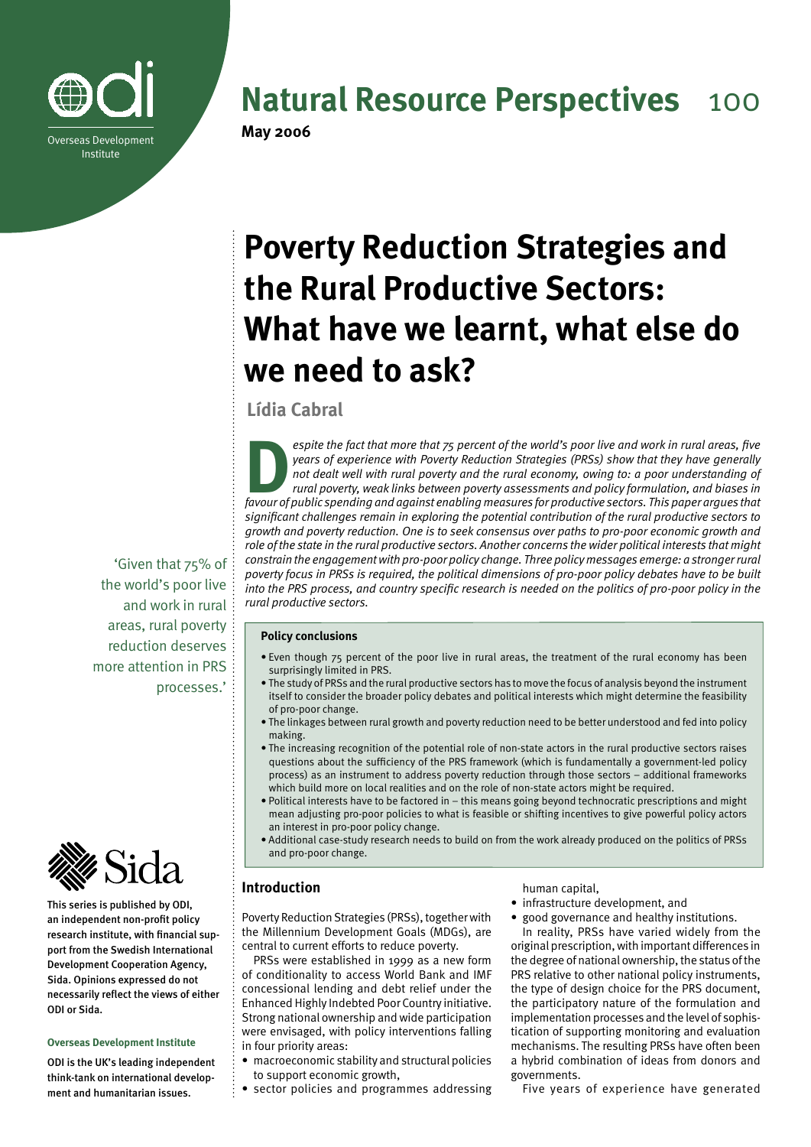

## **Natural Resource Perspectives** 100

## **Poverty Reduction Strategies and the Rural Productive Sectors: What have we learnt, what else do we need to ask?**

**Lídia Cabral**

**D***espite the fact that more that 75 percent of the world's poor live and work in rural areas, five years of experience with Poverty Reduction Strategies (PRSs) show that they have generally not dealt well with rural poverty and the rural economy, owing to: a poor understanding of rural poverty, weak links between poverty assessments and policy formulation, and biases in favour of public spending and against enabling measures for productive sectors. This paper argues that significant challenges remain in exploring the potential contribution of the rural productive sectors to growth and poverty reduction. One is to seek consensus over paths to pro-poor economic growth and role of the state in the rural productive sectors. Another concerns the wider political interests that might constrain the engagement with pro-poor policy change. Three policy messages emerge: a stronger rural poverty focus in PRSs is required, the political dimensions of pro-poor policy debates have to be built into the PRS process, and country specific research is needed on the politics of pro-poor policy in the rural productive sectors.* 

#### **Policy conclusions**

- Even though 75 percent of the poor live in rural areas, the treatment of the rural economy has been surprisingly limited in PRS.
- The study of PRSs and the rural productive sectors has to move the focus of analysis beyond the instrument itself to consider the broader policy debates and political interests which might determine the feasibility of pro-poor change.
- The linkages between rural growth and poverty reduction need to be better understood and fed into policy making.
- The increasing recognition of the potential role of non-state actors in the rural productive sectors raises questions about the sufficiency of the PRS framework (which is fundamentally a government-led policy process) as an instrument to address poverty reduction through those sectors – additional frameworks which build more on local realities and on the role of non-state actors might be required.
- Political interests have to be factored in this means going beyond technocratic prescriptions and might mean adjusting pro-poor policies to what is feasible or shifting incentives to give powerful policy actors an interest in pro-poor policy change.
- Additional case-study research needs to build on from the work already produced on the politics of PRSs and pro-poor change.

## **Introduction**

Poverty Reduction Strategies (PRSs), together with the Millennium Development Goals (MDGs), are central to current efforts to reduce poverty.

PRSs were established in 1999 as a new form of conditionality to access World Bank and IMF concessional lending and debt relief under the Enhanced Highly Indebted Poor Country initiative. Strong national ownership and wide participation were envisaged, with policy interventions falling in four priority areas:

- macroeconomic stability and structural policies to support economic growth,
- sector policies and programmes addressing

human capital,

- infrastructure development, and
- good governance and healthy institutions. In reality, PRSs have varied widely from the original prescription, with important differences in the degree of national ownership, the status of the PRS relative to other national policy instruments,

the type of design choice for the PRS document, the participatory nature of the formulation and implementation processes and the level of sophistication of supporting monitoring and evaluation mechanisms. The resulting PRSs have often been a hybrid combination of ideas from donors and governments.

Five years of experience have generated

'Given that 75% of the world's poor live and work in rural areas, rural poverty reduction deserves more attention in PRS processes.'



This series is published by ODI, an independent non-profit policy research institute, with financial support from the Swedish International Development Cooperation Agency, Sida. Opinions expressed do not necessarily reflect the views of either ODI or Sida.

#### **Overseas Development Institute**

ODI is the UK's leading independent think-tank on international development and humanitarian issues.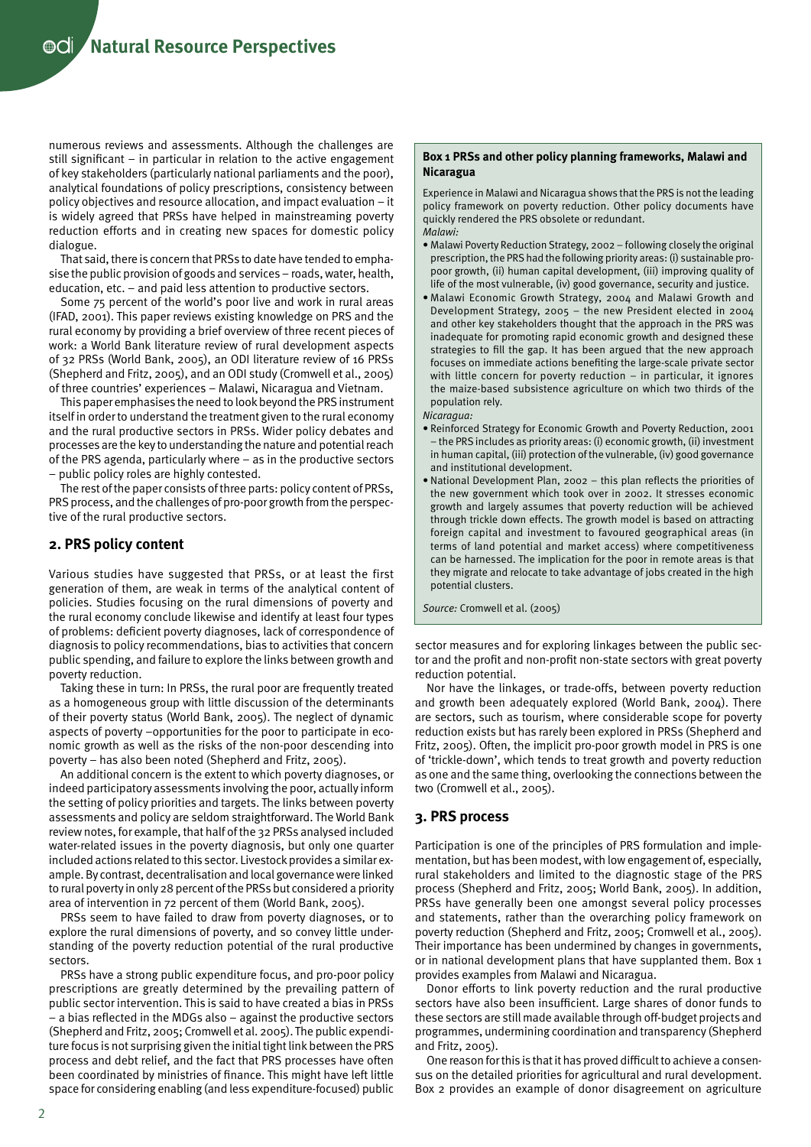$\odot$ **Cli** / Natural Resource Perspectives

numerous reviews and assessments. Although the challenges are still significant – in particular in relation to the active engagement of key stakeholders (particularly national parliaments and the poor), analytical foundations of policy prescriptions, consistency between policy objectives and resource allocation, and impact evaluation – it is widely agreed that PRSs have helped in mainstreaming poverty reduction efforts and in creating new spaces for domestic policy dialogue.

That said, there is concern that PRSs to date have tended to emphasise the public provision of goods and services – roads, water, health, education, etc. – and paid less attention to productive sectors.

Some 75 percent of the world's poor live and work in rural areas (IFAD, 2001). This paper reviews existing knowledge on PRS and the rural economy by providing a brief overview of three recent pieces of work: a World Bank literature review of rural development aspects of 32 PRSs (World Bank, 2005), an ODI literature review of 16 PRSs (Shepherd and Fritz, 2005), and an ODI study (Cromwell et al., 2005) of three countries' experiences – Malawi, Nicaragua and Vietnam.

This paper emphasises the need to look beyond the PRS instrument itself in order to understand the treatment given to the rural economy and the rural productive sectors in PRSs. Wider policy debates and processes are the key to understanding the nature and potential reach of the PRS agenda, particularly where – as in the productive sectors – public policy roles are highly contested.

The rest of the paper consists of three parts: policy content of PRSs, PRS process, and the challenges of pro-poor growth from the perspective of the rural productive sectors.

#### **2. PRS policy content**

Various studies have suggested that PRSs, or at least the first generation of them, are weak in terms of the analytical content of policies. Studies focusing on the rural dimensions of poverty and the rural economy conclude likewise and identify at least four types of problems: deficient poverty diagnoses, lack of correspondence of diagnosis to policy recommendations, bias to activities that concern public spending, and failure to explore the links between growth and poverty reduction.

Taking these in turn: In PRSs, the rural poor are frequently treated as a homogeneous group with little discussion of the determinants of their poverty status (World Bank, 2005). The neglect of dynamic aspects of poverty –opportunities for the poor to participate in economic growth as well as the risks of the non-poor descending into poverty – has also been noted (Shepherd and Fritz, 2005).

An additional concern is the extent to which poverty diagnoses, or indeed participatory assessments involving the poor, actually inform the setting of policy priorities and targets. The links between poverty assessments and policy are seldom straightforward. The World Bank review notes, for example, that half of the 32 PRSs analysed included water-related issues in the poverty diagnosis, but only one quarter included actions related to this sector. Livestock provides a similar example. By contrast, decentralisation and local governance were linked to rural poverty in only 28 percent of the PRSs but considered a priority area of intervention in 72 percent of them (World Bank, 2005).

PRSs seem to have failed to draw from poverty diagnoses, or to explore the rural dimensions of poverty, and so convey little understanding of the poverty reduction potential of the rural productive sectors.

PRSs have a strong public expenditure focus, and pro-poor policy prescriptions are greatly determined by the prevailing pattern of public sector intervention. This is said to have created a bias in PRSs – a bias reflected in the MDGs also – against the productive sectors (Shepherd and Fritz, 2005; Cromwell et al. 2005). The public expenditure focus is not surprising given the initial tight link between the PRS process and debt relief, and the fact that PRS processes have often been coordinated by ministries of finance. This might have left little space for considering enabling (and less expenditure-focused) public

#### **Box 1 PRSs and other policy planning frameworks, Malawi and Nicaragua**

Experience in Malawi and Nicaragua shows that the PRS is not the leading policy framework on poverty reduction. Other policy documents have quickly rendered the PRS obsolete or redundant. *Malawi:*

- Malawi Poverty Reduction Strategy, 2002 following closely the original prescription, the PRS had the following priority areas: (i) sustainable propoor growth, (ii) human capital development, (iii) improving quality of life of the most vulnerable, (iv) good governance, security and justice.
- Malawi Economic Growth Strategy, 2004 and Malawi Growth and Development Strategy, 2005 – the new President elected in 2004 and other key stakeholders thought that the approach in the PRS was inadequate for promoting rapid economic growth and designed these strategies to fill the gap. It has been argued that the new approach focuses on immediate actions benefiting the large-scale private sector with little concern for poverty reduction – in particular, it ignores the maize-based subsistence agriculture on which two thirds of the population rely.
- *Nicaragua:*
- Reinforced Strategy for Economic Growth and Poverty Reduction, 2001 – the PRS includes as priority areas: (i) economic growth, (ii) investment in human capital, (iii) protection of the vulnerable, (iv) good governance and institutional development.
- National Development Plan, 2002 this plan reflects the priorities of the new government which took over in 2002. It stresses economic growth and largely assumes that poverty reduction will be achieved through trickle down effects. The growth model is based on attracting foreign capital and investment to favoured geographical areas (in terms of land potential and market access) where competitiveness can be harnessed. The implication for the poor in remote areas is that they migrate and relocate to take advantage of jobs created in the high potential clusters.

*Source:* Cromwell et al. (2005)

sector measures and for exploring linkages between the public sector and the profit and non-profit non-state sectors with great poverty reduction potential.

Nor have the linkages, or trade-offs, between poverty reduction and growth been adequately explored (World Bank, 2004). There are sectors, such as tourism, where considerable scope for poverty reduction exists but has rarely been explored in PRSs (Shepherd and Fritz, 2005). Often, the implicit pro-poor growth model in PRS is one of 'trickle-down', which tends to treat growth and poverty reduction as one and the same thing, overlooking the connections between the two (Cromwell et al., 2005).

#### **3. PRS process**

Participation is one of the principles of PRS formulation and implementation, but has been modest, with low engagement of, especially, rural stakeholders and limited to the diagnostic stage of the PRS process (Shepherd and Fritz, 2005; World Bank, 2005). In addition, PRSs have generally been one amongst several policy processes and statements, rather than the overarching policy framework on poverty reduction (Shepherd and Fritz, 2005; Cromwell et al., 2005). Their importance has been undermined by changes in governments, or in national development plans that have supplanted them. Box 1 provides examples from Malawi and Nicaragua.

Donor efforts to link poverty reduction and the rural productive sectors have also been insufficient. Large shares of donor funds to these sectors are still made available through off-budget projects and programmes, undermining coordination and transparency (Shepherd and Fritz, 2005).

One reason for this is that it has proved difficult to achieve a consensus on the detailed priorities for agricultural and rural development. Box 2 provides an example of donor disagreement on agriculture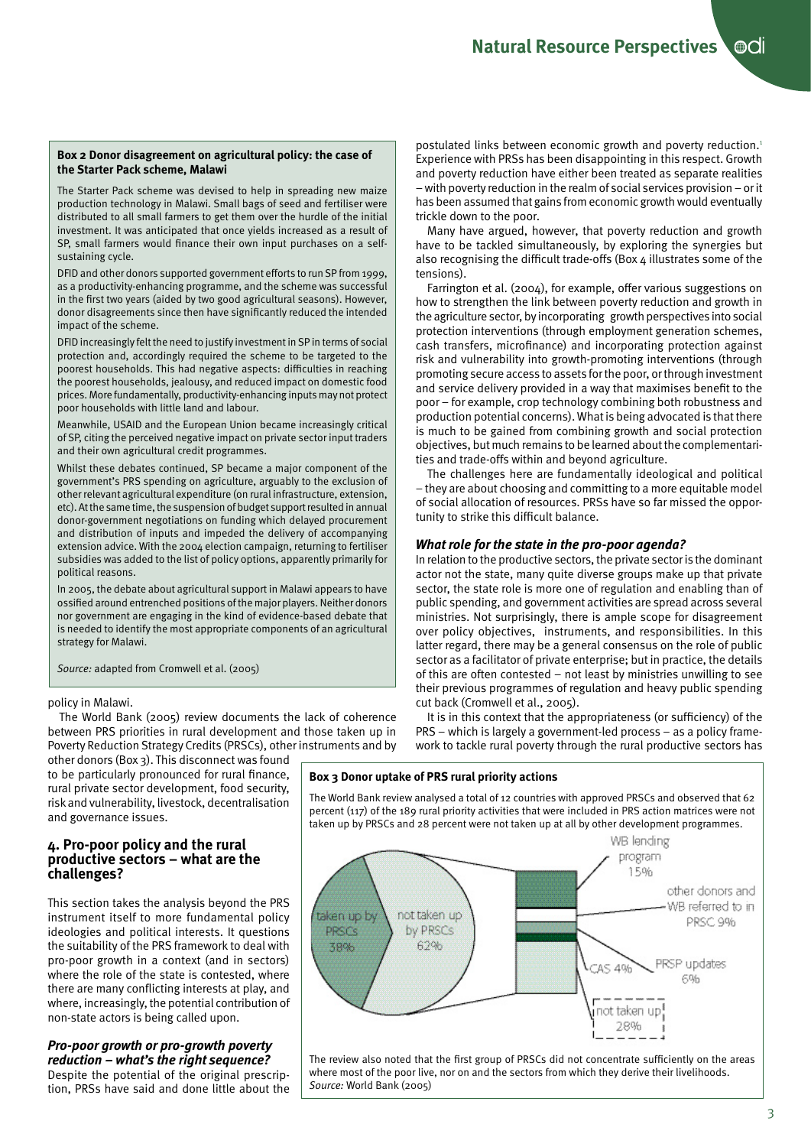#### **Box 2 Donor disagreement on agricultural policy: the case of the Starter Pack scheme, Malawi**

The Starter Pack scheme was devised to help in spreading new maize production technology in Malawi. Small bags of seed and fertiliser were distributed to all small farmers to get them over the hurdle of the initial investment. It was anticipated that once yields increased as a result of SP, small farmers would finance their own input purchases on a selfsustaining cycle.

DFID and other donors supported government efforts to run SP from 1999, as a productivity-enhancing programme, and the scheme was successful in the first two years (aided by two good agricultural seasons). However, donor disagreements since then have significantly reduced the intended impact of the scheme.

DFID increasingly felt the need to justify investment in SP in terms of social protection and, accordingly required the scheme to be targeted to the poorest households. This had negative aspects: difficulties in reaching the poorest households, jealousy, and reduced impact on domestic food prices. More fundamentally, productivity-enhancing inputs may not protect poor households with little land and labour.

Meanwhile, USAID and the European Union became increasingly critical of SP, citing the perceived negative impact on private sector input traders and their own agricultural credit programmes.

Whilst these debates continued, SP became a major component of the government's PRS spending on agriculture, arguably to the exclusion of other relevant agricultural expenditure (on rural infrastructure, extension, etc). At the same time, the suspension of budget support resulted in annual donor-government negotiations on funding which delayed procurement and distribution of inputs and impeded the delivery of accompanying extension advice. With the 2004 election campaign, returning to fertiliser subsidies was added to the list of policy options, apparently primarily for political reasons.

In 2005, the debate about agricultural support in Malawi appears to have ossified around entrenched positions of the major players. Neither donors nor government are engaging in the kind of evidence-based debate that is needed to identify the most appropriate components of an agricultural strategy for Malawi.

*Source:* adapted from Cromwell et al. (2005)

#### policy in Malawi.

The World Bank (2005) review documents the lack of coherence between PRS priorities in rural development and those taken up in Poverty Reduction Strategy Credits (PRSCs), other instruments and by

other donors (Box 3). This disconnect was found to be particularly pronounced for rural finance, rural private sector development, food security, risk and vulnerability, livestock, decentralisation and governance issues.

### **4. Pro-poor policy and the rural productive sectors – what are the challenges?**

This section takes the analysis beyond the PRS instrument itself to more fundamental policy ideologies and political interests. It questions the suitability of the PRS framework to deal with pro-poor growth in a context (and in sectors) where the role of the state is contested, where there are many conflicting interests at play, and where, increasingly, the potential contribution of non-state actors is being called upon.

## *Pro-poor growth or pro-growth poverty reduction – what's the right sequence?*

Despite the potential of the original prescription, PRSs have said and done little about the postulated links between economic growth and poverty reduction.<sup>1</sup> Experience with PRSs has been disappointing in this respect. Growth and poverty reduction have either been treated as separate realities – with poverty reduction in the realm of social services provision – or it has been assumed that gains from economic growth would eventually trickle down to the poor.

Many have argued, however, that poverty reduction and growth have to be tackled simultaneously, by exploring the synergies but also recognising the difficult trade-offs (Box 4 illustrates some of the tensions).

Farrington et al. (2004), for example, offer various suggestions on how to strengthen the link between poverty reduction and growth in the agriculture sector, by incorporating growth perspectives into social protection interventions (through employment generation schemes, cash transfers, microfinance) and incorporating protection against risk and vulnerability into growth-promoting interventions (through promoting secure access to assets for the poor, or through investment and service delivery provided in a way that maximises benefit to the poor – for example, crop technology combining both robustness and production potential concerns). What is being advocated is that there is much to be gained from combining growth and social protection objectives, but much remains to be learned about the complementarities and trade-offs within and beyond agriculture.

The challenges here are fundamentally ideological and political – they are about choosing and committing to a more equitable model of social allocation of resources. PRSs have so far missed the opportunity to strike this difficult balance.

## *What role for the state in the pro-poor agenda?*

In relation to the productive sectors, the private sector is the dominant actor not the state, many quite diverse groups make up that private sector, the state role is more one of regulation and enabling than of public spending, and government activities are spread across several ministries. Not surprisingly, there is ample scope for disagreement over policy objectives, instruments, and responsibilities. In this latter regard, there may be a general consensus on the role of public sector as a facilitator of private enterprise; but in practice, the details of this are often contested – not least by ministries unwilling to see their previous programmes of regulation and heavy public spending cut back (Cromwell et al., 2005).

It is in this context that the appropriateness (or sufficiency) of the PRS – which is largely a government-led process – as a policy framework to tackle rural poverty through the rural productive sectors has

## **Box 3 Donor uptake of PRS rural priority actions**

The World Bank review analysed a total of 12 countries with approved PRSCs and observed that 62 percent (117) of the 189 rural priority activities that were included in PRS action matrices were not taken up by PRSCs and 28 percent were not taken up at all by other development programmes.



The review also noted that the first group of PRSCs did not concentrate sufficiently on the areas where most of the poor live, nor on and the sectors from which they derive their livelihoods. *Source:* World Bank (2005)